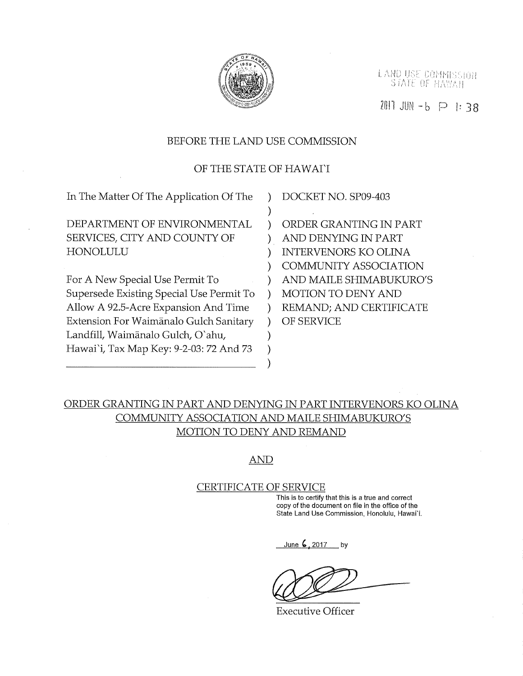

LAND USE COMMISSION<br>STATE OF HAWAII

ZOIT JUN - b P 1: 38

#### BEFORE THE LAND USE COMMISSION

### OF THE STATE OF HAWAI'I

| DOCKET NO. SP09-403          |
|------------------------------|
|                              |
| ORDER GRANTING IN PART       |
| AND DENYING IN PART          |
| <b>INTERVENORS KO OLINA</b>  |
| <b>COMMUNITY ASSOCIATION</b> |
| AND MAILE SHIMABUKURO'S      |
| MOTION TO DENY AND           |
| REMAND; AND CERTIFICATE      |
| OF SERVICE                   |
|                              |
|                              |
|                              |
|                              |

# ORDER GRANTING IN PART AND DENYING IN PART INTERVENORS KO OLINA COMMUNITY ASSOCIATION AND MAILE SHIMABUKURO'S MOTION TO DENY AND REMAND

AND

# CERTIFICATE OF SERVICE

This is to certify that this is a true and correct copy of the document on file in the office of the State Land Use Commission, Honolulu, Hawai'i.

June  $\frac{2017}{201}$  by

Executive Officer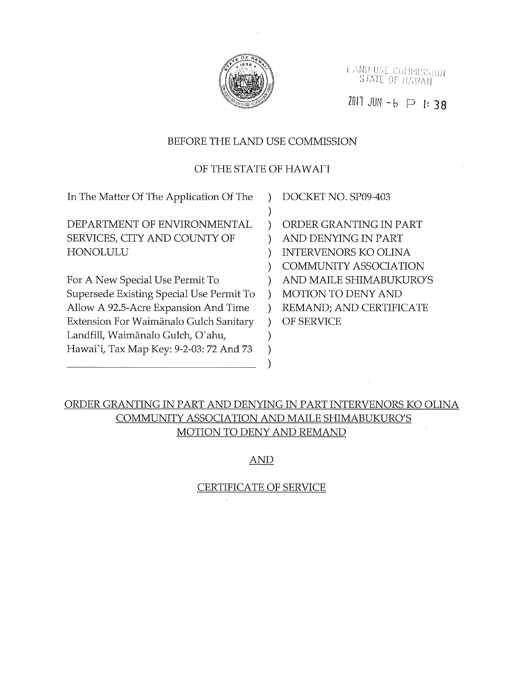

LAND USE COMMISSION STATE OF HAVAII

Zÿll JUr, t-b P 1:38

#### BEFORE THE LAND USE COMMISSION

### OF THE STATE OF HAWAI'I

) ) ) ) ) ) ) ) ) )

| In The Matter Of The Application Of The  |  |
|------------------------------------------|--|
|                                          |  |
| DEPARTMENT OF ENVIRONMENTAL              |  |
| SERVICES, CITY AND COUNTY OF             |  |
| HONOLULU                                 |  |
|                                          |  |
| For A New Special Use Permit To          |  |
| Supersede Existing Special Use Permit To |  |
| Allow A 92.5-Acre Expansion And Time     |  |
| Extension For Waimānalo Gulch Sanitary   |  |
| Landfill, Waimānalo Gulch, O'ahu,        |  |
| Hawai'i, Tax Map Key: 9-2-03: 72 And 73  |  |

DOCKET NO. SP09-403

ORDER GRANTING IN PART AND DENYING IN PART INTERVENORS KO OLINA COMMUNITY ASSOCIATION AND MAILE SHIMABUKURO'S MOTION TO DENY AND REMAND; AND CERTIFICATE OF SERVICE

# ORDER GRANTING IN PART AND DENYING IN PART INTERVENORS KO OLINA COMMUNITY ASSOCIATION AND MAILE SHIMABUKURO'S MOTION TO DENY AND REMAND

#### AND

#### CERTIFICATE OF SERVICE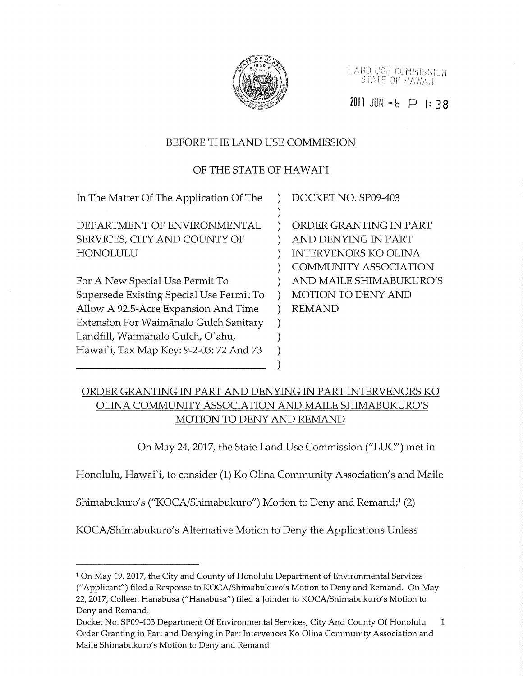

LAND USE COMMISSION STATE OF HAWAII

 $2011$  JUN  $-6$  P 1: 38

### BEFORE THE LAND USE COMMISSION

### OF THE STATE OF HAWAI'I

| In The Matter Of The Application Of The  | DOCKET NO. SP09-403          |
|------------------------------------------|------------------------------|
|                                          |                              |
| DEPARTMENT OF ENVIRONMENTAL              | ORDER GRANTING IN PART       |
| SERVICES, CITY AND COUNTY OF             | AND DENYING IN PART          |
| HONOLULU                                 | <b>INTERVENORS KO OLINA</b>  |
|                                          | <b>COMMUNITY ASSOCIATION</b> |
| For A New Special Use Permit To          | AND MAILE SHIMABUKURO'S      |
| Supersede Existing Special Use Permit To | <b>MOTION TO DENY AND</b>    |
| Allow A 92.5-Acre Expansion And Time     | <b>REMAND</b>                |
| Extension For Waimānalo Gulch Sanitary   |                              |
| Landfill, Waimānalo Gulch, O`ahu,        |                              |
| Hawai`i, Tax Map Key: 9-2-03: 72 And 73  |                              |
|                                          |                              |

## ORDER GRANTING IN PART AND DENYING IN PART INTERVENORS KO OLINA COMMUNITY ASSOCIATION AND MAILE SHIMABUKURO'S MOTION TO DENY AND REMAND

On May 24, 2017, the State Land Use Commission ("LUC') met in

Honolulu, Hawai'i, to consider (1) Ko Olina Community Association's and Maile

Shimabukuro's ("KOCA/Shimabukuro") Motion to Deny and Remand;1 (2)

KOCA/Shimabukuro's Alternative Motion to Deny the Applications Unless

<sup>1</sup> On May 19, 2017, the City and County of Honolulu Department of Environmental Services ("Applicant") filed a Response to KOCA/Shimabukuro's Motion to Deny and Remand. On May 22, 2017, Colleen Hanabusa ("Hanabusa') filed a Joinder to KOCA/Shimabukuro's Motion to Deny and Remand.

Docket No. SP09-403 Department Of Environmental Services, City And County Of Honolulu  $\mathbf{1}$ Order Granting in Part and Denying in Part Intervenors Ko Olina Community Association and Maile Shimabukuro's Motion to Deny and Remand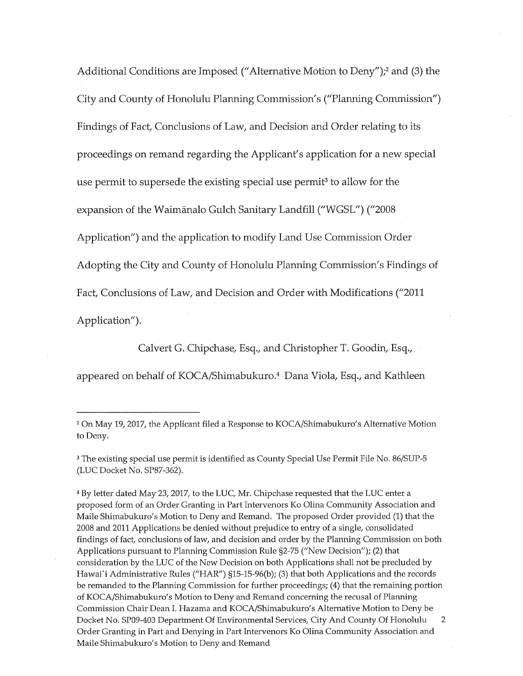Additional Conditions are Imposed ("Alternative Motion to Deny");2 and (3) the City and County of Honolulu Planning Commission's ("Planning Commission") Findings of Fact, Conclusions of Law, and Decision and Order relating to its proceedings on remand regarding the Applicant's application for a new special use permit to supersede the existing special use permit<sup>3</sup> to allow for the expansion of the Waimfinalo Gulch Sanitary Landfill ("WGSL") ("2008 Application") and the application to modify Land Use Commission Order Adopting the City and County of Honolulu Planning Commission's Findings of Fact, Conclusions of Law, and Decision and Order with Modifications ("2011 Application").

Calvert G. Chipchase, Esq., and Christopher T. Goodin, Esq.,

appeared on behalf of KOCA/Shimabukuro.4 Dana Viola, Esq., and Kathleen

<sup>2</sup> On May 19, 2017, the Applicant filed a Response to KOCA/Shimabukuro's Alternative Motion to Deny.

<sup>3</sup> The existing special use permit is identified as County Special Use Permit File No. 86/SUP-5 (LUC Docket No. SP87-362).

<sup>4</sup> By letter dated May 23, 2017, to the LUC, Mr. Chipchase requested that the LUC enter a proposed form of an Order Granting in Part Intervenors Ko Olina Community Association and Maile Shimabukuro's Motion to Deny and Remand. The proposed Order provided (1) that the 2008 and 2011 Applications be denied without prejudice to entry of a single, consolidated findings of fact, conclusions of law, and decision and order by the Planning Commission on both Applications pursuant to Planning Commission Rule §2-75 ("New Decision"); (2) that consideration by the LUC of the New Decision on both Applications shall not be precluded by Hawai'i Administrative Rules ("HAR") §15-15-96(b); (3) that both Applications and the records be remanded to the Planning Commission for further proceedings; (4) that the remaining portion of KOCA/Shimabukuro's Motion to Deny and Remand concerning the recusal of Planning Commission Chair Dean I. Hazama and KOCA/Shimabukuro's Alternative Motion to Deny be Docket No. SP09-403 Department Of Environmental Services, City And County Of Honolulu  $\mathbf{2}$ Order Granting in Part and Denying in Part Intervenors Ko Olina Community Association and Maile Shimabukuro's Motion to Deny and Remand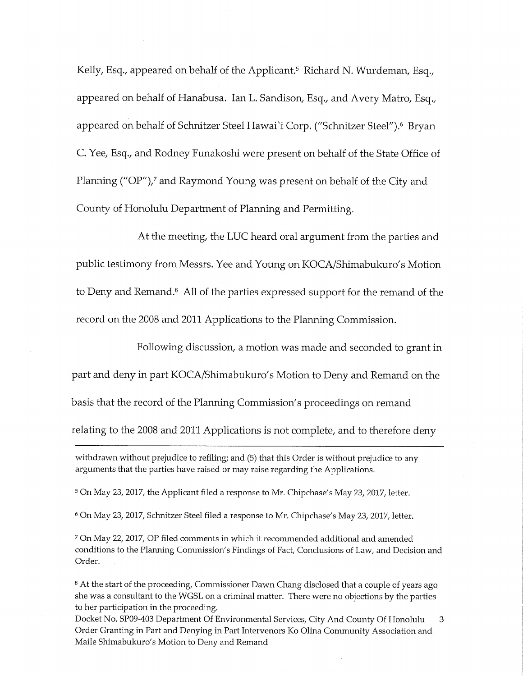Kelly, Esq., appeared on behalf of the Applicant.<sup>5</sup> Richard N. Wurdeman, Esq., appeared on behalf of Hanabusa. Ian L. Sandison, Esq., and Avery Matro, Esq., appeared on behalf of Schnitzer Steel Hawai'i Corp. ("Schnitzer Steel").<sup>6</sup> Bryan C. Yee, Esq., and Rodney Funakoshi were present on behalf of the State Office of Planning ("OP"),<sup>7</sup> and Raymond Young was present on behalf of the City and County of Honolulu Department of Planning and Permitting.

At the meeting, the LUC heard oral argument from the parties and public testimony from Messrs. Yee and Young on KOCA/Shimabukuro's Motion to Deny and Remand.8 All of the parties expressed support for the remand of the record on the 2008 and 2011 Applications to the Planning Commission.

Following discussion, a motion was made and seconded to grant in part and deny in part KOCA/Shimabukuro's Motion to Deny and Remand on the basis that the record of the Planning Commission's proceedings on remand relating to the 2008 and 2011 Applications is not complete, and to therefore deny

withdrawn without prejudice to refiling; and (5) that this Order is without prejudice to any arguments that the parties have raised or may raise regarding the Applications.

5 On May 23, 2017, the Applicant filed a response to Mr. Chipchase's May 23, 2017, letter.

6 On May 23, 2017, Schnitzer Steel filed a response to Mr. Chipchase's May 23, 2017, letter.

7 On May 22, 2017, OP filed comments in which it recommended additional and amended conditions to the Planning Commission's Findings of Fact, Conclusions of Law, and Decision and Order.

<sup>8</sup> At the start of the proceeding, Commissioner Dawn Chang disclosed that a couple of years ago she was a consultant to the WGSL on a criminal matter. There were no objections by the parties to her participation in the proceeding.

Docket No. SP09-403 Department Of Environmental Services, City And County Of Honolulu 3 Order Granting in Part and Denying in Part Intervenors Ko Olina Community Association and Maile Shimabukuro's Motion to Deny and Remand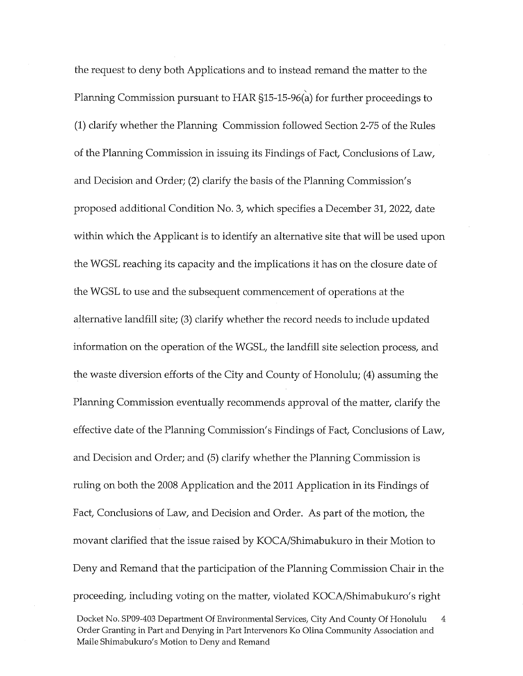the request to deny both Applications and to instead remand the matter to the  $\ddot{\phantom{0}}$ Planning Commission pursuant to HAR §15-15-96(a) for further proceedings to (1) clarify whether the Planning Commission followed Section 2-75 of the Rules of the Planning Commission in issuing its Findings of Fact, Conclusions of Law, and Decision and Order; (2) clarify the basis of the Planning Commission's proposed additional Condition No. 3, which specifies a December 31, 2022, date within which the Applicant is to identify an alternative site that will be used upon the WGSL reaching its capacity and the implications it has on the closure date of the WGSL to use and the subsequent commencement of operations at the alternative landfill site; (3) clarify whether the record needs to include updated information on the operation of the WGSL, the landfill site selection process, and the waste diversion efforts of the City and County of Honolulu; (4) assuming the Planning Commission eventually recommends approval of the matter, clarify the effective date of the Planning Commission's Findings of Fact, Conclusions of Law, and Decision and Order; and (5) clarify whether the Planning Commission is ruling on both the 2008 Application and the 2011 Application in its Findings of Fact, Conclusions of Law, and Decision and Order. As part of the motion, the movant clarified that the issue raised by KOCA/Shimabukuro in their Motion to Deny and Remand that the participation of the Planning Commission Chair in the proceeding, including voting on the matter, violated KOCA/Shimabukuro's right

Docket No. SP09-403 Department Of Environmental Services, City And County Of Honolulu 4 Order Granting in Part and Denying in Part Intervenors Ko Olina Community Association and Maile Shimabukuro's Motion to Deny and Remand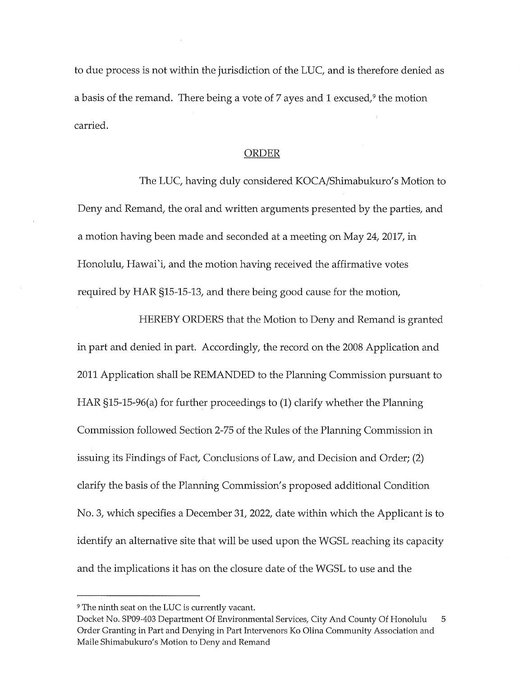to due process is not within the jurisdiction of the LUC, and is therefore denied as a basis of the remand. There being a vote of  $7$  ayes and  $1$  excused,<sup>9</sup> the motion carried.

#### ORDER

The LUC, having duly considered KOCA/Shimabukuro's Motion to Deny and Remand, the oral and written arguments presented by the parties, and a motion having been made and seconded at a meeting on May 24, 2017, in Honolulu, Hawai'i, and the motion having received the affirmative votes required by HAR §15-15-13, and there being good cause for the motion,

HEREBY ORDERS that the Motion to Deny and Remand is granted in part and denied in part. Accordingly, the record on the 2008 Application and 2011 Application shall be REMANDED to the Planning Commission pursuant to HAR §15-15-96(a) for further proceedings to (1) clarify whether the Planning Commission followed Section 2-75 of the Rules of the Planning Commission in issuing its Findings of Fact, Conclusions of Law, and Decision and Order; (2) clarify the basis of the Planning Commission's proposed additional Condition No. 3, which specifies a December 31, 2022, date within which the Applicant is to identify an alternative site that will be used upon the WGSL reaching its capacity and the implications it has on the closure date of the WGSL to use and the

<sup>&</sup>lt;sup>9</sup> The ninth seat on the LUC is currently vacant.

Docket No. SP09-403 Department Of Environmental Services, City And County Of Honolulu 5 Order Granting in Part and Denying in Part Intervenors Ko Olina Community Association and Maile Shimabukuro's Motion to Deny and Remand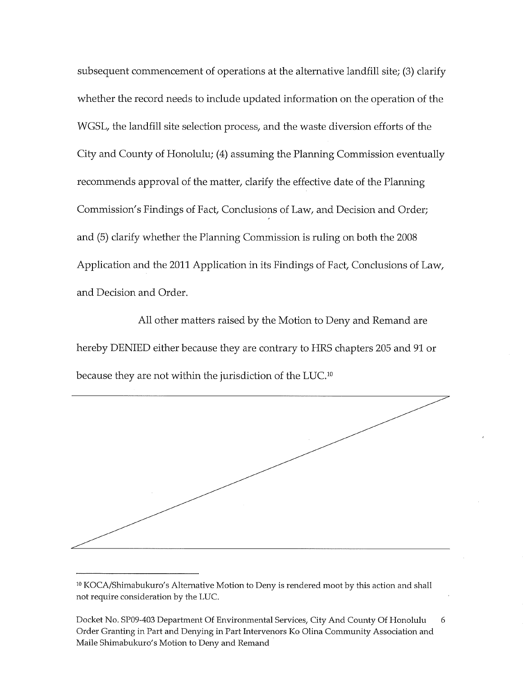subsequent commencement of operations at the alternative landfill site; (3) clarify whether the record needs to include updated information on the operation of the WGSL, the landfill site selection process, and the waste diversion efforts of the City and County of Honolulu; (4) assuming the Planning Commission eventually recommends approval of the matter, clarify the effective date of the Planning Commission's Findings of Fact, Conclusions of Law, and Decision and Order; and (5) clarify whether the Planning Commission is ruling on both the 2008 Application and the 2011 Application in its Findings of Fact, Conclusions of Law, and Decision and Order.

All other matters raised by the Motion to Deny and Remand are hereby DENIED either because they are contrary to HRS chapters 205 and 91 or because they are not within the jurisdiction of the LUC.1°



<sup>&</sup>lt;sup>10</sup> KOCA/Shimabukuro's Alternative Motion to Deny is rendered moot by this action and shall not require consideration by the LUC.

Docket No. SP09-403 Department Of Environmental Services, City And County Of Honolulu Order Granting in Part and Denying in Part Intervenors Ko Olina Community Association and Maile Shimabukuro's Motion to Deny and Remand 6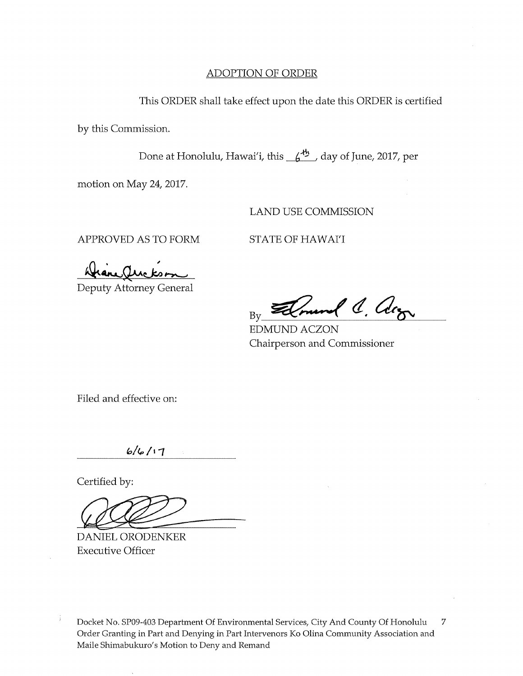#### ADOPTION OF ORDER

This ORDER shall take effect upon the date this ORDER is certified

by this Commission.

Done at Honolulu, Hawai'i, this  $\frac{f^{4h}}{g}$  day of June, 2017, per

motion on May 24, 2017.

LAND USE COMMISSION

APPROVED AS TO FORM STATE OF HAWAI'I

Deputy Attorney General

l C. Arg Bv

EDMUND ACZON Chairperson and Commissioner

Filed and effective on:

 $6/6/17$ 

Certified by:

DANIEL ORODENKER Executive Officer

Docket No. SP09-403 Department Of Environmental Services, City And County Of Honolulu  $\overline{7}$ Order Granting in Part and Denying in Part Intervenors Ko Olina Community Association and Maile Shimabukuro's Motion to Deny and Remand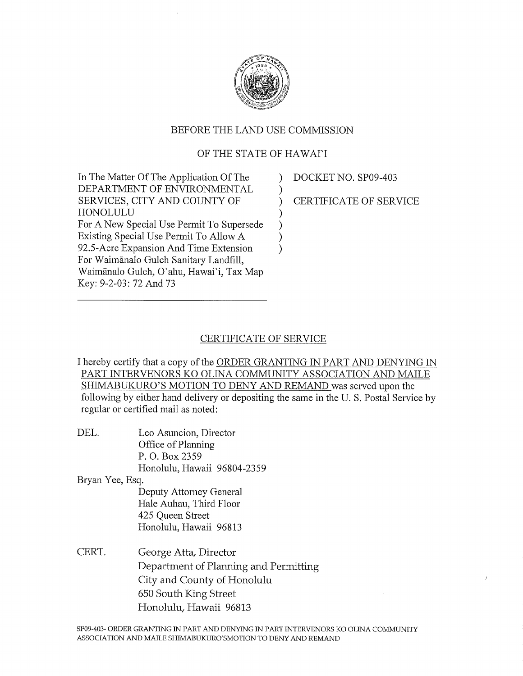

#### BEFORE THE LAND USE COMMISSION

### OF THE STATE OF HAWAI'I

In The Matter Of The Application Of The ) DEPARTMENT OF ENVIRONMENTAL  $\qquad$ ) SERVICES, CITY AND COUNTY OF ) HONOLULU ) For A New Special Use Permit To Supersede ) Existing Special Use Permit To Allow A ) 92.5-Acre Expansion And Time Extension ) For Waimgnalo Gulch Sanitary Landfill, Waimgnalo Gulch, O'ahu, Hawai'i, Tax Map Key: 9-2-03:72 And 73

DOCKET NO. SP09-403 CERTIFICATE OF SERVICE

#### CERTIFICATE OF SERVICE

I hereby certify that a copy of the ORDER GRANTING IN PART AND DENYING IN PART INTERVENORS KO OLINA COMMUNITY ASSOCIATION AND MAILE SHIMABUKURO'S MOTION TO DENY AND REMAND was served upon the following by either hand delivery or depositing the same in the U. S. Postal Service by regular or certified mail as noted:

DEL. Leo Asuncion, Director Office of Planning P. O. Box 2359

Honolulu, Hawaii 96804-2359

Bryan Yee, Esq.

Deputy Attorney General Hale Auhau, Third Floor 425 Queen Street Honolulu, Hawaii 96813

CERT. George Atta, Director Department of Planning and Permitting City and County of Honolulu 650 South King Street Honolulu, Hawaii 96813